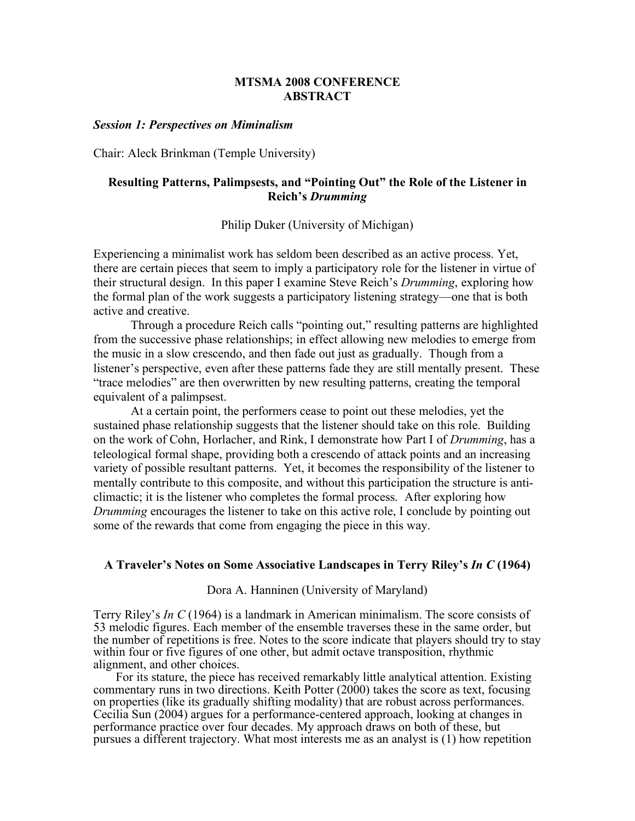## **MTSMA 2008 CONFERENCE ABSTRACT**

#### *Session 1: Perspectives on Miminalism*

Chair: Aleck Brinkman (Temple University)

## **Resulting Patterns, Palimpsests, and "Pointing Out" the Role of the Listener in Reich's** *Drumming*

### Philip Duker (University of Michigan)

Experiencing a minimalist work has seldom been described as an active process. Yet, there are certain pieces that seem to imply a participatory role for the listener in virtue of their structural design. In this paper I examine Steve Reich's *Drumming*, exploring how the formal plan of the work suggests a participatory listening strategy—one that is both active and creative.

Through a procedure Reich calls "pointing out," resulting patterns are highlighted from the successive phase relationships; in effect allowing new melodies to emerge from the music in a slow crescendo, and then fade out just as gradually. Though from a listener's perspective, even after these patterns fade they are still mentally present. These "trace melodies" are then overwritten by new resulting patterns, creating the temporal equivalent of a palimpsest.

At a certain point, the performers cease to point out these melodies, yet the sustained phase relationship suggests that the listener should take on this role. Building on the work of Cohn, Horlacher, and Rink, I demonstrate how Part I of *Drumming*, has a teleological formal shape, providing both a crescendo of attack points and an increasing variety of possible resultant patterns. Yet, it becomes the responsibility of the listener to mentally contribute to this composite, and without this participation the structure is anticlimactic; it is the listener who completes the formal process. After exploring how *Drumming* encourages the listener to take on this active role, I conclude by pointing out some of the rewards that come from engaging the piece in this way.

### **A Traveler's Notes on Some Associative Landscapes in Terry Riley's** *In C* **(1964)**

Dora A. Hanninen (University of Maryland)

Terry Riley's *In C* (1964) is a landmark in American minimalism. The score consists of 53 melodic figures. Each member of the ensemble traverses these in the same order, but the number of repetitions is free. Notes to the score indicate that players should try to stay within four or five figures of one other, but admit octave transposition, rhythmic alignment, and other choices.

For its stature, the piece has received remarkably little analytical attention. Existing commentary runs in two directions. Keith Potter (2000) takes the score as text, focusing<br>on properties (like its gradually shifting modality) that are robust across performances. Concilia Sun (2004) argues for a performance-centered approach, looking at changes in performance practice over four decades. My approach draws on both of these, but pursues a different trajectory. What most interests me as an analyst is (1) how repetition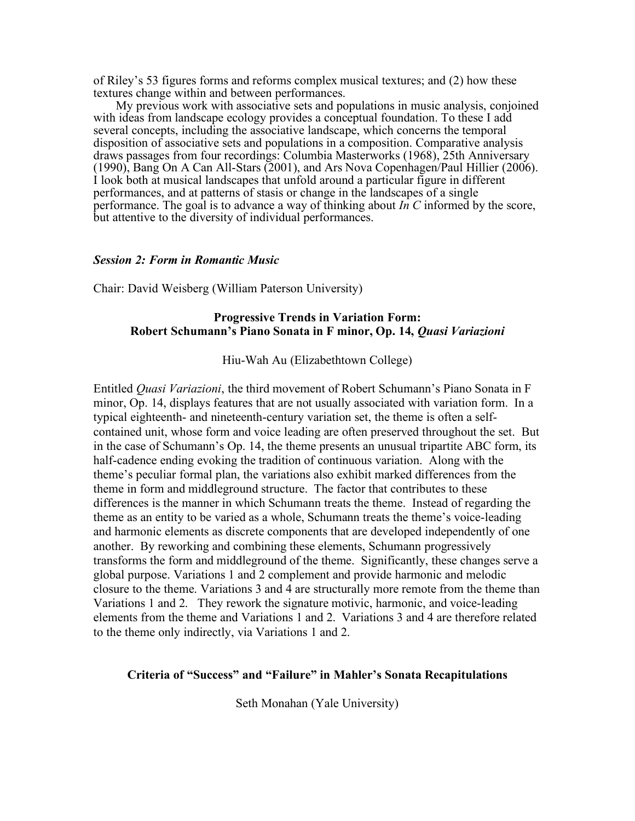of Riley's 53 figures forms and reforms complex musical textures; and (2) how these textures change within and between performances.

My previous work with associative sets and populations in music analysis, conjoined with ideas from landscape ecology provides a conceptual foundation. To these I add several concepts, including the associative landscape, which concerns the temporal disposition of associative sets and populations in a composition. Comparative analysis draws passages from four recordings: Columbia Masterworks (1968), 25th Anniversary (1990), Bang On A Can All-Stars (2001), and Ars Nova Copenhagen/Paul Hillier (2006). I look both at musical landscapes that unfold around a particular figure in different performances, and at patterns of stasis or change in the landscapes of a single performance. The goal is to advance a way of thinking about *In C* informed by the score, but attentive to the diversity of individual performances.

#### *Session 2: Form in Romantic Music*

Chair: David Weisberg (William Paterson University)

## **Progressive Trends in Variation Form: Robert Schumann's Piano Sonata in F minor, Op. 14,** *Quasi Variazioni*

Hiu-Wah Au (Elizabethtown College)

Entitled *Quasi Variazioni*, the third movement of Robert Schumann's Piano Sonata in F minor, Op. 14, displays features that are not usually associated with variation form. In a typical eighteenth- and nineteenth-century variation set, the theme is often a selfcontained unit, whose form and voice leading are often preserved throughout the set. But in the case of Schumann's Op. 14, the theme presents an unusual tripartite ABC form, its half-cadence ending evoking the tradition of continuous variation. Along with the theme's peculiar formal plan, the variations also exhibit marked differences from the theme in form and middleground structure. The factor that contributes to these differences is the manner in which Schumann treats the theme. Instead of regarding the theme as an entity to be varied as a whole, Schumann treats the theme's voice-leading and harmonic elements as discrete components that are developed independently of one another. By reworking and combining these elements, Schumann progressively transforms the form and middleground of the theme. Significantly, these changes serve a global purpose. Variations 1 and 2 complement and provide harmonic and melodic closure to the theme. Variations 3 and 4 are structurally more remote from the theme than Variations 1 and 2. They rework the signature motivic, harmonic, and voice-leading elements from the theme and Variations 1 and 2. Variations 3 and 4 are therefore related to the theme only indirectly, via Variations 1 and 2.

## **Criteria of "Success" and "Failure" in Mahler's Sonata Recapitulations**

Seth Monahan (Yale University)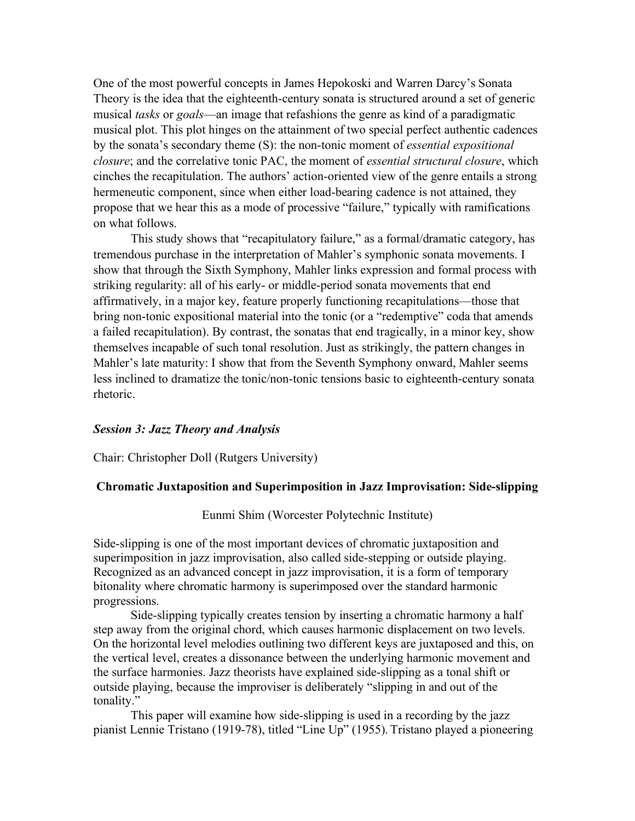One of the most powerful concepts in James Hepokoski and Warren Darcy's Sonata Theory is the idea that the eighteenth-century sonata is structured around a set of generic musical *tasks* or *goals*—an image that refashions the genre as kind of a paradigmatic musical plot. This plot hinges on the attainment of two special perfect authentic cadences by the sonata's secondary theme (S): the non-tonic moment of *essential expositional closure*; and the correlative tonic PAC, the moment of *essential structural closure*, which cinches the recapitulation. The authors' action-oriented view of the genre entails a strong hermeneutic component, since when either load-bearing cadence is not attained, they propose that we hear this as a mode of processive "failure," typically with ramifications on what follows.

This study shows that "recapitulatory failure," as a formal/dramatic category, has tremendous purchase in the interpretation of Mahler's symphonic sonata movements. I show that through the Sixth Symphony, Mahler links expression and formal process with striking regularity: all of his early- or middle-period sonata movements that end affirmatively, in a major key, feature properly functioning recapitulations—those that bring non-tonic expositional material into the tonic (or a "redemptive" coda that amends a failed recapitulation). By contrast, the sonatas that end tragically, in a minor key, show themselves incapable of such tonal resolution. Just as strikingly, the pattern changes in Mahler's late maturity: I show that from the Seventh Symphony onward, Mahler seems less inclined to dramatize the tonic/non-tonic tensions basic to eighteenth-century sonata rhetoric.

#### *Session 3: Jazz Theory and Analysis*

Chair: Christopher Doll (Rutgers University)

## **Chromatic Juxtaposition and Superimposition in Jazz Improvisation: Side-slipping**

Eunmi Shim (Worcester Polytechnic Institute)

Side-slipping is one of the most important devices of chromatic juxtaposition and superimposition in jazz improvisation, also called side-stepping or outside playing. Recognized as an advanced concept in jazz improvisation, it is a form of temporary bitonality where chromatic harmony is superimposed over the standard harmonic progressions.

Side-slipping typically creates tension by inserting a chromatic harmony a half step away from the original chord, which causes harmonic displacement on two levels. On the horizontal level melodies outlining two different keys are juxtaposed and this, on the vertical level, creates a dissonance between the underlying harmonic movement and the surface harmonies. Jazz theorists have explained side-slipping as a tonal shift or outside playing, because the improviser is deliberately "slipping in and out of the tonality."

This paper will examine how side-slipping is used in a recording by the jazz pianist Lennie Tristano (1919-78), titled "Line Up" (1955). Tristano played a pioneering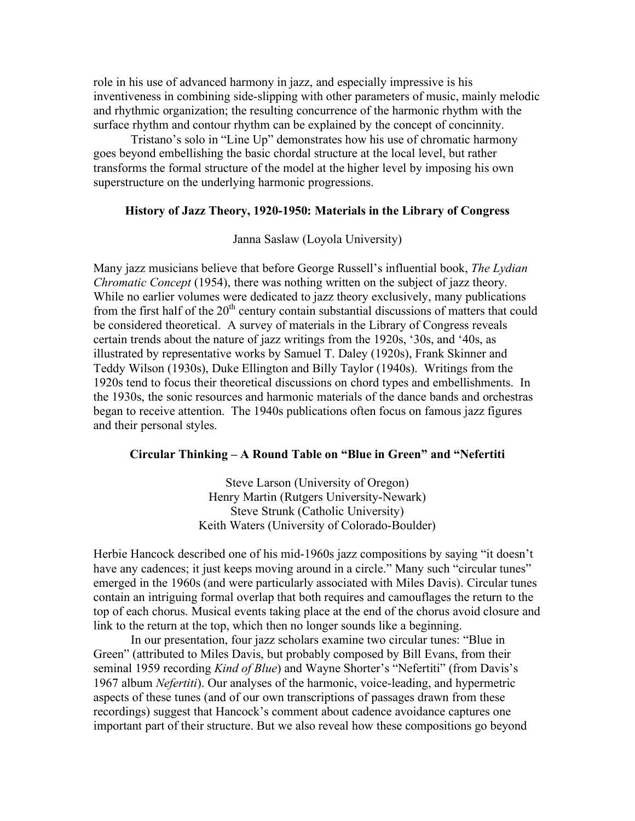role in his use of advanced harmony in jazz, and especially impressive is his inventiveness in combining side-slipping with other parameters of music, mainly melodic and rhythmic organization; the resulting concurrence of the harmonic rhythm with the surface rhythm and contour rhythm can be explained by the concept of concinnity.

Tristano's solo in "Line Up" demonstrates how his use of chromatic harmony goes beyond embellishing the basic chordal structure at the local level, but rather transforms the formal structure of the model at the higher level by imposing his own superstructure on the underlying harmonic progressions.

### **History of Jazz Theory, 1920-1950: Materials in the Library of Congress**

Janna Saslaw (Loyola University)

Many jazz musicians believe that before George Russell's influential book, *The Lydian Chromatic Concept* (1954), there was nothing written on the subject of jazz theory. While no earlier volumes were dedicated to jazz theory exclusively, many publications from the first half of the  $20<sup>th</sup>$  century contain substantial discussions of matters that could be considered theoretical. A survey of materials in the Library of Congress reveals certain trends about the nature of jazz writings from the 1920s, '30s, and '40s, as illustrated by representative works by Samuel T. Daley (1920s), Frank Skinner and Teddy Wilson (1930s), Duke Ellington and Billy Taylor (1940s). Writings from the 1920s tend to focus their theoretical discussions on chord types and embellishments. In the 1930s, the sonic resources and harmonic materials of the dance bands and orchestras began to receive attention. The 1940s publications often focus on famous jazz figures and their personal styles.

### **Circular Thinking – A Round Table on "Blue in Green" and "Nefertiti**

Steve Larson (University of Oregon) Henry Martin (Rutgers University-Newark) Steve Strunk (Catholic University) Keith Waters (University of Colorado-Boulder)

Herbie Hancock described one of his mid-1960s jazz compositions by saying "it doesn't have any cadences; it just keeps moving around in a circle." Many such "circular tunes" emerged in the 1960s (and were particularly associated with Miles Davis). Circular tunes contain an intriguing formal overlap that both requires and camouflages the return to the top of each chorus. Musical events taking place at the end of the chorus avoid closure and link to the return at the top, which then no longer sounds like a beginning.

In our presentation, four jazz scholars examine two circular tunes: "Blue in Green" (attributed to Miles Davis, but probably composed by Bill Evans, from their seminal 1959 recording *Kind of Blue*) and Wayne Shorter's "Nefertiti" (from Davis's 1967 album *Nefertiti*). Our analyses of the harmonic, voice-leading, and hypermetric aspects of these tunes (and of our own transcriptions of passages drawn from these recordings) suggest that Hancock's comment about cadence avoidance captures one important part of their structure. But we also reveal how these compositions go beyond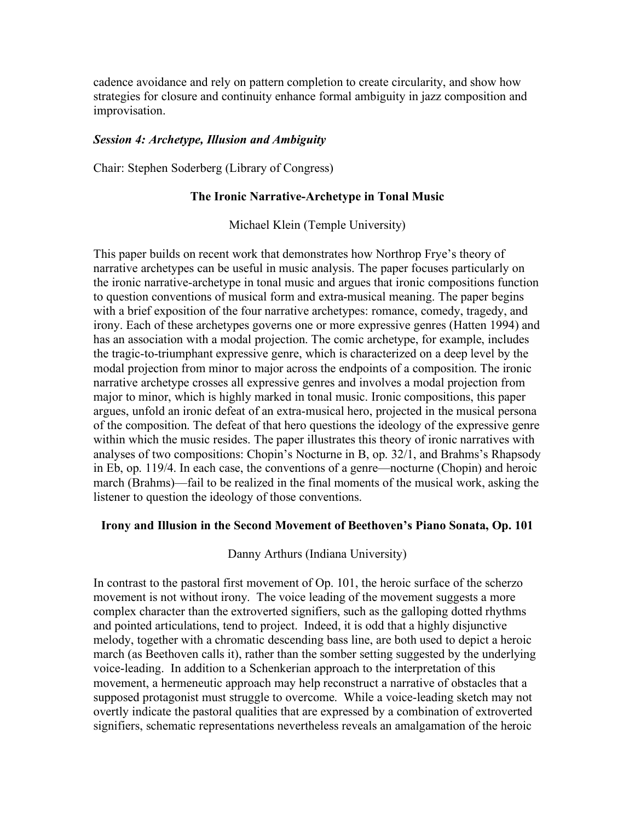cadence avoidance and rely on pattern completion to create circularity, and show how strategies for closure and continuity enhance formal ambiguity in jazz composition and improvisation.

## *Session 4: Archetype, Illusion and Ambiguity*

Chair: Stephen Soderberg (Library of Congress)

### **The Ironic Narrative-Archetype in Tonal Music**

Michael Klein (Temple University)

This paper builds on recent work that demonstrates how Northrop Frye's theory of narrative archetypes can be useful in music analysis. The paper focuses particularly on the ironic narrative-archetype in tonal music and argues that ironic compositions function to question conventions of musical form and extra-musical meaning. The paper begins with a brief exposition of the four narrative archetypes: romance, comedy, tragedy, and irony. Each of these archetypes governs one or more expressive genres (Hatten 1994) and has an association with a modal projection. The comic archetype, for example, includes the tragic-to-triumphant expressive genre, which is characterized on a deep level by the modal projection from minor to major across the endpoints of a composition. The ironic narrative archetype crosses all expressive genres and involves a modal projection from major to minor, which is highly marked in tonal music. Ironic compositions, this paper argues, unfold an ironic defeat of an extra-musical hero, projected in the musical persona of the composition. The defeat of that hero questions the ideology of the expressive genre within which the music resides. The paper illustrates this theory of ironic narratives with analyses of two compositions: Chopin's Nocturne in B, op. 32/1, and Brahms's Rhapsody in Eb, op. 119/4. In each case, the conventions of a genre—nocturne (Chopin) and heroic march (Brahms)—fail to be realized in the final moments of the musical work, asking the listener to question the ideology of those conventions.

### **Irony and Illusion in the Second Movement of Beethoven's Piano Sonata, Op. 101**

Danny Arthurs (Indiana University)

In contrast to the pastoral first movement of Op. 101, the heroic surface of the scherzo movement is not without irony. The voice leading of the movement suggests a more complex character than the extroverted signifiers, such as the galloping dotted rhythms and pointed articulations, tend to project. Indeed, it is odd that a highly disjunctive melody, together with a chromatic descending bass line, are both used to depict a heroic march (as Beethoven calls it), rather than the somber setting suggested by the underlying voice-leading. In addition to a Schenkerian approach to the interpretation of this movement, a hermeneutic approach may help reconstruct a narrative of obstacles that a supposed protagonist must struggle to overcome. While a voice-leading sketch may not overtly indicate the pastoral qualities that are expressed by a combination of extroverted signifiers, schematic representations nevertheless reveals an amalgamation of the heroic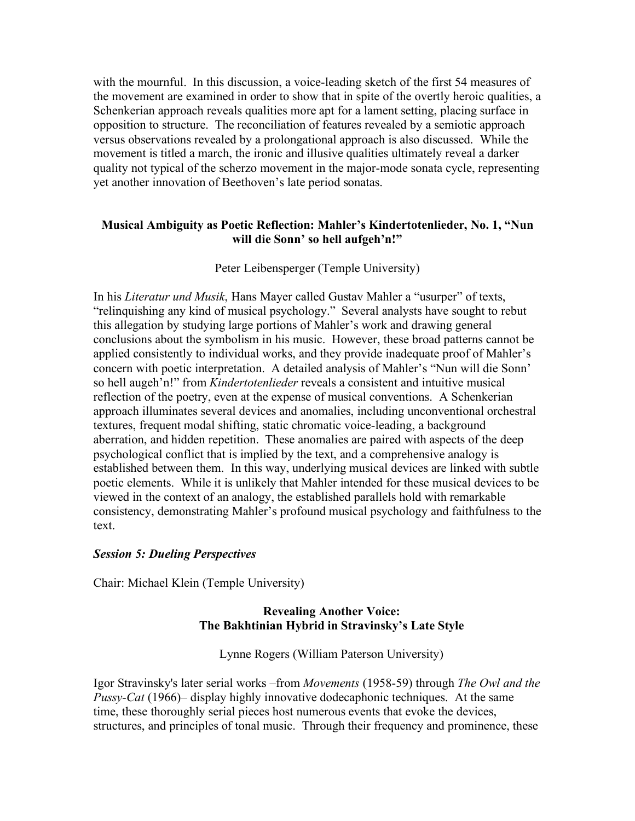with the mournful. In this discussion, a voice-leading sketch of the first 54 measures of the movement are examined in order to show that in spite of the overtly heroic qualities, a Schenkerian approach reveals qualities more apt for a lament setting, placing surface in opposition to structure. The reconciliation of features revealed by a semiotic approach versus observations revealed by a prolongational approach is also discussed. While the movement is titled a march, the ironic and illusive qualities ultimately reveal a darker quality not typical of the scherzo movement in the major-mode sonata cycle, representing yet another innovation of Beethoven's late period sonatas.

## **Musical Ambiguity as Poetic Reflection: Mahler's Kindertotenlieder, No. 1, "Nun will die Sonn' so hell aufgeh'n!"**

## Peter Leibensperger (Temple University)

In his *Literatur und Musik*, Hans Mayer called Gustav Mahler a "usurper" of texts, "relinquishing any kind of musical psychology." Several analysts have sought to rebut this allegation by studying large portions of Mahler's work and drawing general conclusions about the symbolism in his music. However, these broad patterns cannot be applied consistently to individual works, and they provide inadequate proof of Mahler's concern with poetic interpretation. A detailed analysis of Mahler's "Nun will die Sonn' so hell augeh'n!" from *Kindertotenlieder* reveals a consistent and intuitive musical reflection of the poetry, even at the expense of musical conventions. A Schenkerian approach illuminates several devices and anomalies, including unconventional orchestral textures, frequent modal shifting, static chromatic voice-leading, a background aberration, and hidden repetition. These anomalies are paired with aspects of the deep psychological conflict that is implied by the text, and a comprehensive analogy is established between them. In this way, underlying musical devices are linked with subtle poetic elements. While it is unlikely that Mahler intended for these musical devices to be viewed in the context of an analogy, the established parallels hold with remarkable consistency, demonstrating Mahler's profound musical psychology and faithfulness to the text.

## *Session 5: Dueling Perspectives*

Chair: Michael Klein (Temple University)

# **Revealing Another Voice: The Bakhtinian Hybrid in Stravinsky's Late Style**

Lynne Rogers (William Paterson University)

Igor Stravinsky's later serial works –from *Movements* (1958-59) through *The Owl and the Pussy-Cat* (1966)– display highly innovative dodecaphonic techniques. At the same time, these thoroughly serial pieces host numerous events that evoke the devices, structures, and principles of tonal music. Through their frequency and prominence, these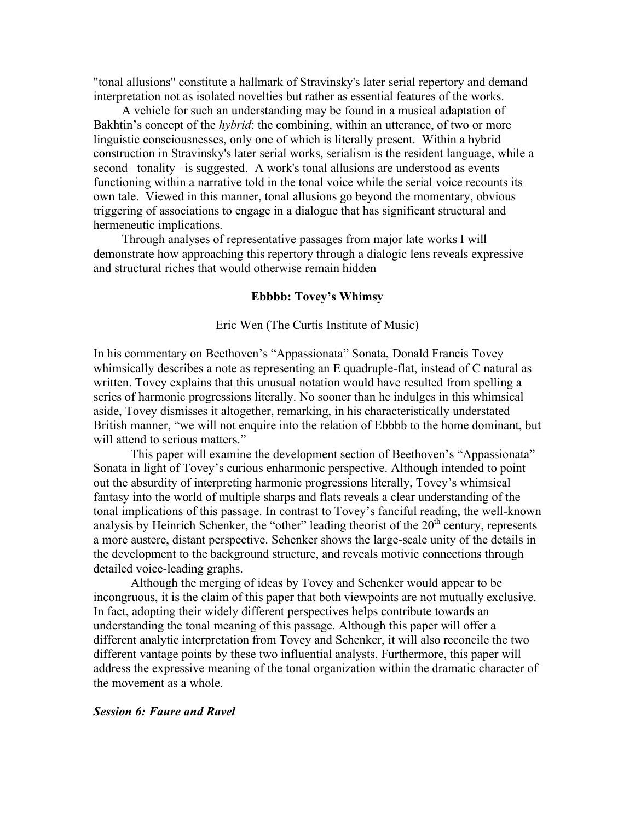"tonal allusions" constitute a hallmark of Stravinsky's later serial repertory and demand interpretation not as isolated novelties but rather as essential features of the works.

A vehicle for such an understanding may be found in a musical adaptation of Bakhtin's concept of the *hybrid*: the combining, within an utterance, of two or more linguistic consciousnesses, only one of which is literally present. Within a hybrid construction in Stravinsky's later serial works, serialism is the resident language, while a second –tonality– is suggested. A work's tonal allusions are understood as events functioning within a narrative told in the tonal voice while the serial voice recounts its own tale. Viewed in this manner, tonal allusions go beyond the momentary, obvious triggering of associations to engage in a dialogue that has significant structural and hermeneutic implications.

Through analyses of representative passages from major late works I will demonstrate how approaching this repertory through a dialogic lens reveals expressive and structural riches that would otherwise remain hidden

## **Ebbbb: Tovey's Whimsy**

#### Eric Wen (The Curtis Institute of Music)

In his commentary on Beethoven's "Appassionata" Sonata, Donald Francis Tovey whimsically describes a note as representing an E quadruple-flat, instead of C natural as written. Tovey explains that this unusual notation would have resulted from spelling a series of harmonic progressions literally. No sooner than he indulges in this whimsical aside, Tovey dismisses it altogether, remarking, in his characteristically understated British manner, "we will not enquire into the relation of Ebbbb to the home dominant, but will attend to serious matters."

This paper will examine the development section of Beethoven's "Appassionata" Sonata in light of Tovey's curious enharmonic perspective. Although intended to point out the absurdity of interpreting harmonic progressions literally, Tovey's whimsical fantasy into the world of multiple sharps and flats reveals a clear understanding of the tonal implications of this passage. In contrast to Tovey's fanciful reading, the well-known analysis by Heinrich Schenker, the "other" leading theorist of the  $20<sup>th</sup>$  century, represents a more austere, distant perspective. Schenker shows the large-scale unity of the details in the development to the background structure, and reveals motivic connections through detailed voice-leading graphs.

Although the merging of ideas by Tovey and Schenker would appear to be incongruous, it is the claim of this paper that both viewpoints are not mutually exclusive. In fact, adopting their widely different perspectives helps contribute towards an understanding the tonal meaning of this passage. Although this paper will offer a different analytic interpretation from Tovey and Schenker, it will also reconcile the two different vantage points by these two influential analysts. Furthermore, this paper will address the expressive meaning of the tonal organization within the dramatic character of the movement as a whole.

#### *Session 6: Faure and Ravel*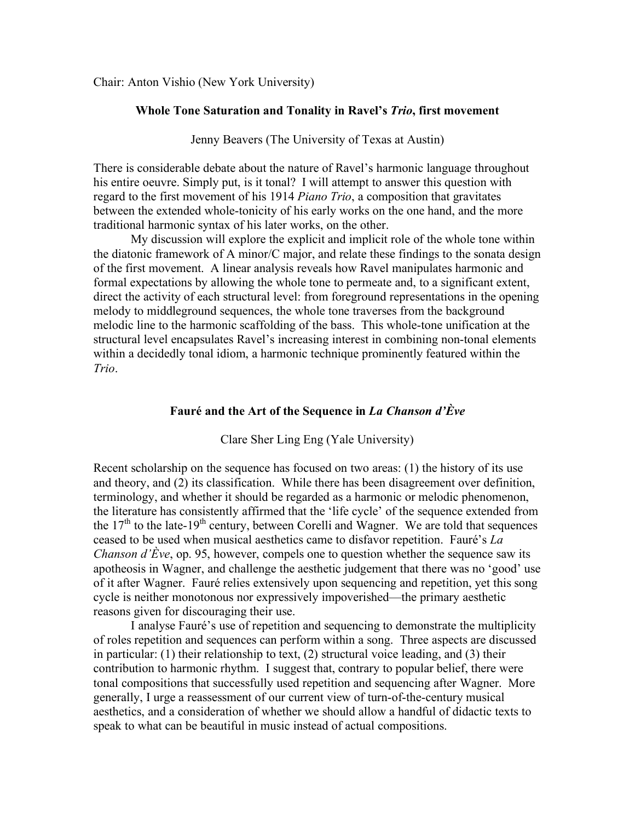Chair: Anton Vishio (New York University)

#### **Whole Tone Saturation and Tonality in Ravel's** *Trio***, first movement**

Jenny Beavers (The University of Texas at Austin)

There is considerable debate about the nature of Ravel's harmonic language throughout his entire oeuvre. Simply put, is it tonal? I will attempt to answer this question with regard to the first movement of his 1914 *Piano Trio*, a composition that gravitates between the extended whole-tonicity of his early works on the one hand, and the more traditional harmonic syntax of his later works, on the other.

My discussion will explore the explicit and implicit role of the whole tone within the diatonic framework of A minor/C major, and relate these findings to the sonata design of the first movement. A linear analysis reveals how Ravel manipulates harmonic and formal expectations by allowing the whole tone to permeate and, to a significant extent, direct the activity of each structural level: from foreground representations in the opening melody to middleground sequences, the whole tone traverses from the background melodic line to the harmonic scaffolding of the bass. This whole-tone unification at the structural level encapsulates Ravel's increasing interest in combining non-tonal elements within a decidedly tonal idiom, a harmonic technique prominently featured within the *Trio*.

### **Fauré and the Art of the Sequence in** *La Chanson d'Ève*

Clare Sher Ling Eng (Yale University)

Recent scholarship on the sequence has focused on two areas: (1) the history of its use and theory, and (2) its classification. While there has been disagreement over definition, terminology, and whether it should be regarded as a harmonic or melodic phenomenon, the literature has consistently affirmed that the 'life cycle' of the sequence extended from the  $17<sup>th</sup>$  to the late-19<sup>th</sup> century, between Corelli and Wagner. We are told that sequences ceased to be used when musical aesthetics came to disfavor repetition. Fauré's *La Chanson d'Ève*, op. 95, however, compels one to question whether the sequence saw its apotheosis in Wagner, and challenge the aesthetic judgement that there was no 'good' use of it after Wagner. Fauré relies extensively upon sequencing and repetition, yet this song cycle is neither monotonous nor expressively impoverished—the primary aesthetic reasons given for discouraging their use.

I analyse Fauré's use of repetition and sequencing to demonstrate the multiplicity of roles repetition and sequences can perform within a song. Three aspects are discussed in particular: (1) their relationship to text, (2) structural voice leading, and (3) their contribution to harmonic rhythm. I suggest that, contrary to popular belief, there were tonal compositions that successfully used repetition and sequencing after Wagner. More generally, I urge a reassessment of our current view of turn-of-the-century musical aesthetics, and a consideration of whether we should allow a handful of didactic texts to speak to what can be beautiful in music instead of actual compositions.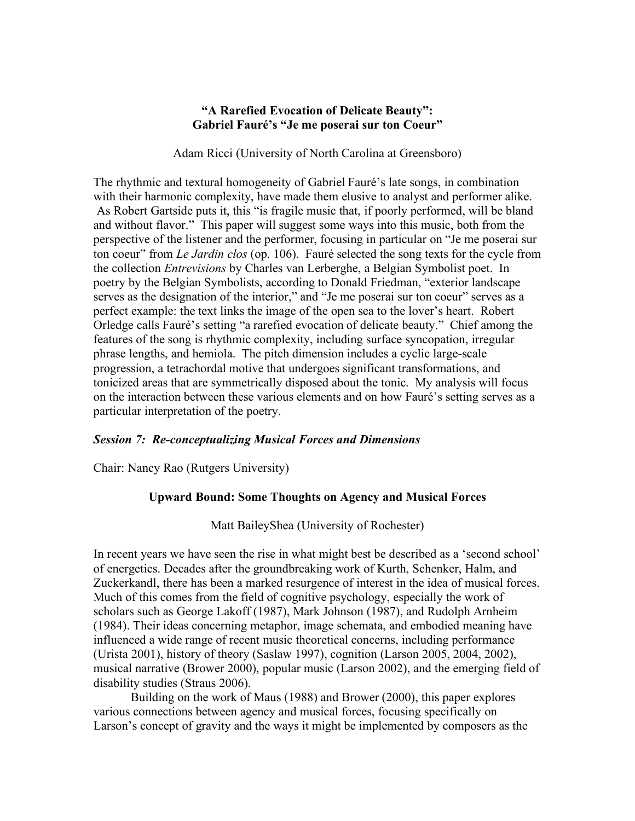## **"A Rarefied Evocation of Delicate Beauty": Gabriel Fauré's "Je me poserai sur ton Coeur"**

Adam Ricci (University of North Carolina at Greensboro)

The rhythmic and textural homogeneity of Gabriel Fauré's late songs, in combination with their harmonic complexity, have made them elusive to analyst and performer alike. As Robert Gartside puts it, this "is fragile music that, if poorly performed, will be bland and without flavor." This paper will suggest some ways into this music, both from the perspective of the listener and the performer, focusing in particular on "Je me poserai sur ton coeur" from *Le Jardin clos* (op. 106). Fauré selected the song texts for the cycle from the collection *Entrevisions* by Charles van Lerberghe, a Belgian Symbolist poet. In poetry by the Belgian Symbolists, according to Donald Friedman, "exterior landscape serves as the designation of the interior," and "Je me poserai sur ton coeur" serves as a perfect example: the text links the image of the open sea to the lover's heart. Robert Orledge calls Fauré's setting "a rarefied evocation of delicate beauty." Chief among the features of the song is rhythmic complexity, including surface syncopation, irregular phrase lengths, and hemiola. The pitch dimension includes a cyclic large-scale progression, a tetrachordal motive that undergoes significant transformations, and tonicized areas that are symmetrically disposed about the tonic. My analysis will focus on the interaction between these various elements and on how Fauré's setting serves as a particular interpretation of the poetry.

## *Session 7: Re-conceptualizing Musical Forces and Dimensions*

Chair: Nancy Rao (Rutgers University)

# **Upward Bound: Some Thoughts on Agency and Musical Forces**

Matt BaileyShea (University of Rochester)

In recent years we have seen the rise in what might best be described as a 'second school' of energetics. Decades after the groundbreaking work of Kurth, Schenker, Halm, and Zuckerkandl, there has been a marked resurgence of interest in the idea of musical forces. Much of this comes from the field of cognitive psychology, especially the work of scholars such as George Lakoff (1987), Mark Johnson (1987), and Rudolph Arnheim (1984). Their ideas concerning metaphor, image schemata, and embodied meaning have influenced a wide range of recent music theoretical concerns, including performance (Urista 2001), history of theory (Saslaw 1997), cognition (Larson 2005, 2004, 2002), musical narrative (Brower 2000), popular music (Larson 2002), and the emerging field of disability studies (Straus 2006).

Building on the work of Maus (1988) and Brower (2000), this paper explores various connections between agency and musical forces, focusing specifically on Larson's concept of gravity and the ways it might be implemented by composers as the